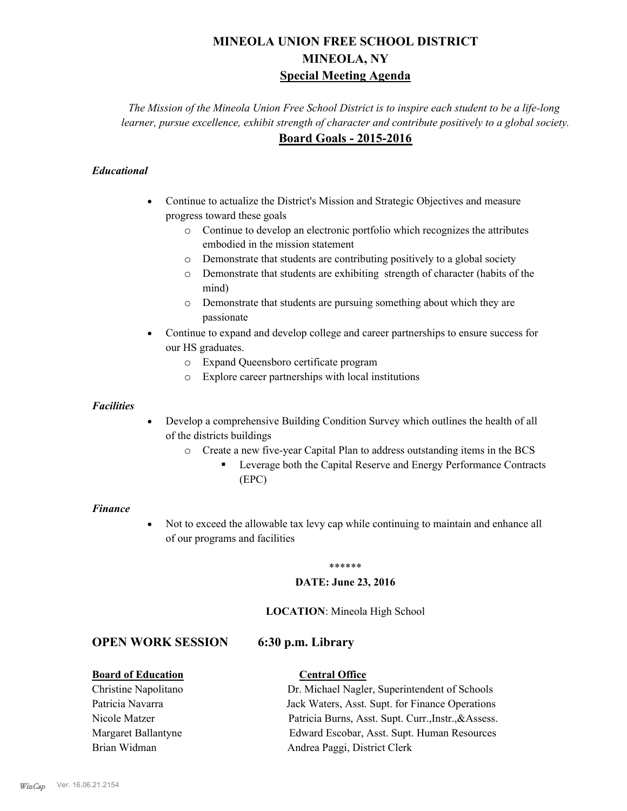# **MINEOLA UNION FREE SCHOOL DISTRICT MINEOLA, NY Special Meeting Agenda**

*The Mission of the Mineola Union Free School District is to inspire each student to be a life-long learner, pursue excellence, exhibit strength of character and contribute positively to a global society.* **Board Goals - 2015-2016**

# *Educational*

- · Continue to actualize the District's Mission and Strategic Objectives and measure progress toward these goals
	- o Continue to develop an electronic portfolio which recognizes the attributes embodied in the mission statement
	- o Demonstrate that students are contributing positively to a global society
	- o Demonstrate that students are exhibiting strength of character (habits of the mind)
	- o Demonstrate that students are pursuing something about which they are passionate
- Continue to expand and develop college and career partnerships to ensure success for our HS graduates.
	- o Expand Queensboro certificate program
	- o Explore career partnerships with local institutions

### *Facilities*

- Develop a comprehensive Building Condition Survey which outlines the health of all of the districts buildings
	- o Create a new five-year Capital Plan to address outstanding items in the BCS
		- § Leverage both the Capital Reserve and Energy Performance Contracts (EPC)

### *Finance*

• Not to exceed the allowable tax levy cap while continuing to maintain and enhance all of our programs and facilities

### \*\*\*\*\*\*

### **DATE: June 23, 2016**

## **LOCATION**: Mineola High School

# **OPEN WORK SESSION 6:30 p.m. Library**

### **Board of Education Central Office**

Christine Napolitano Dr. Michael Nagler, Superintendent of Schools Patricia Navarra Jack Waters, Asst. Supt. for Finance Operations Nicole Matzer Patricia Burns, Asst. Supt. Curr.,Instr.,&Assess. Margaret Ballantyne Edward Escobar, Asst. Supt. Human Resources Brian Widman **Andrea Paggi, District Clerk**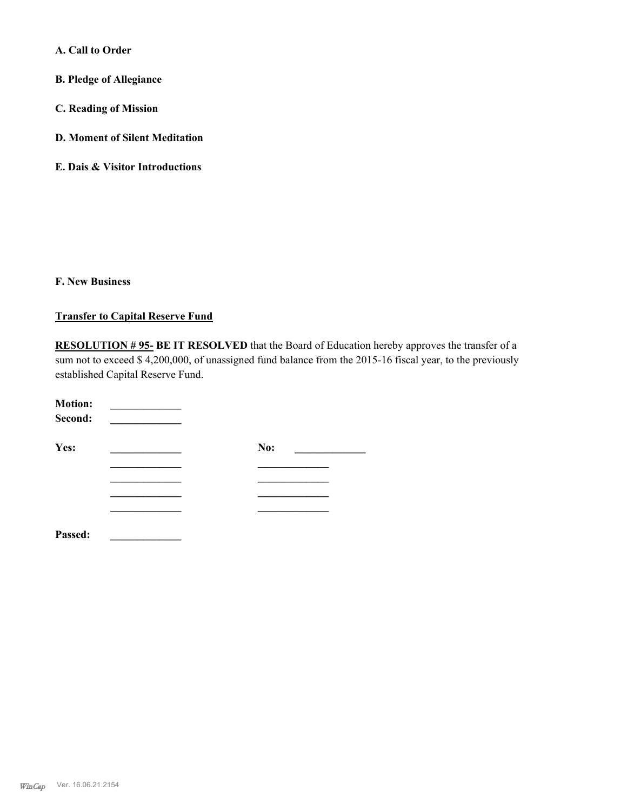## **A. Call to Order**

- **B. Pledge of Allegiance**
- **C. Reading of Mission**
- **D. Moment of Silent Meditation**
- **E. Dais & Visitor Introductions**

# **F. New Business**

## **Transfer to Capital Reserve Fund**

**RESOLUTION # 95- BE IT RESOLVED** that the Board of Education hereby approves the transfer of a sum not to exceed \$ 4,200,000, of unassigned fund balance from the 2015-16 fiscal year, to the previously established Capital Reserve Fund.

| <b>Motion:</b><br>Second: |     |  |
|---------------------------|-----|--|
| Yes:                      | No: |  |
|                           |     |  |
|                           |     |  |
|                           |     |  |
|                           |     |  |
| Passed:                   |     |  |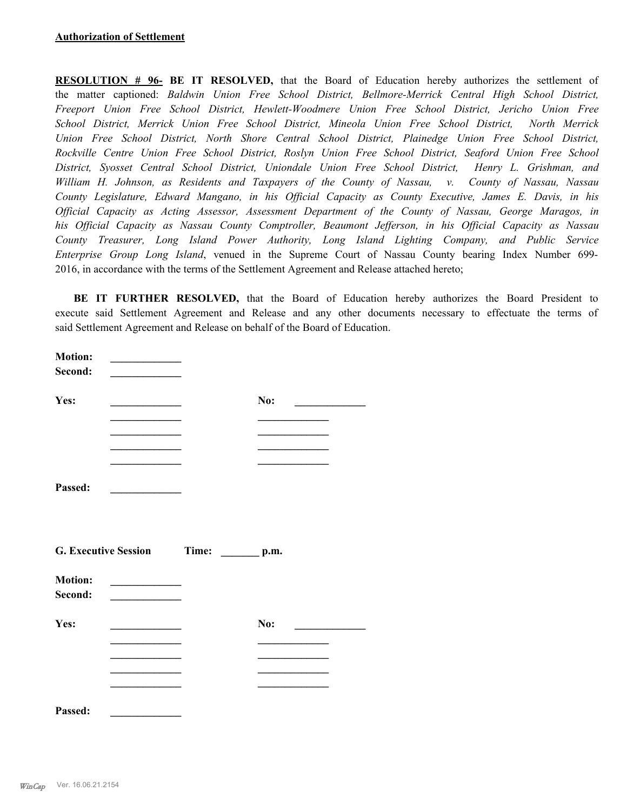**RESOLUTION # 96- BE IT RESOLVED,** that the Board of Education hereby authorizes the settlement of the matter captioned: *Baldwin Union Free School District, Bellmore-Merrick Central High School District, Freeport Union Free School District, Hewlett-Woodmere Union Free School District, Jericho Union Free School District, Merrick Union Free School District, Mineola Union Free School District, North Merrick Union Free School District, North Shore Central School District, Plainedge Union Free School District, Rockville Centre Union Free School District, Roslyn Union Free School District, Seaford Union Free School District, Syosset Central School District, Uniondale Union Free School District, Henry L. Grishman, and William H. Johnson, as Residents and Taxpayers of the County of Nassau, v. County of Nassau, Nassau County Legislature, Edward Mangano, in his Official Capacity as County Executive, James E. Davis, in his Official Capacity as Acting Assessor, Assessment Department of the County of Nassau, George Maragos, in his Official Capacity as Nassau County Comptroller, Beaumont Jefferson, in his Official Capacity as Nassau County Treasurer, Long Island Power Authority, Long Island Lighting Company, and Public Service Enterprise Group Long Island*, venued in the Supreme Court of Nassau County bearing Index Number 699- 2016, in accordance with the terms of the Settlement Agreement and Release attached hereto;

BE IT FURTHER RESOLVED, that the Board of Education hereby authorizes the Board President to execute said Settlement Agreement and Release and any other documents necessary to effectuate the terms of said Settlement Agreement and Release on behalf of the Board of Education.

| <b>MOUTH</b> . |                                              |                                         |     |  |
|----------------|----------------------------------------------|-----------------------------------------|-----|--|
| Second:        |                                              |                                         |     |  |
| Yes:           |                                              |                                         | No: |  |
|                |                                              |                                         |     |  |
|                |                                              |                                         |     |  |
|                |                                              |                                         |     |  |
|                |                                              |                                         |     |  |
| Passed:        |                                              |                                         |     |  |
|                |                                              |                                         |     |  |
|                |                                              |                                         |     |  |
|                |                                              | G. Executive Session Time: _______ p.m. |     |  |
| <b>Motion:</b> |                                              |                                         |     |  |
| Second:        |                                              |                                         |     |  |
|                |                                              |                                         |     |  |
| Yes:           | the control of the control of the control of |                                         | No: |  |
|                |                                              |                                         |     |  |
|                |                                              |                                         |     |  |
|                |                                              |                                         |     |  |
|                |                                              |                                         |     |  |
| Passed:        |                                              |                                         |     |  |

*Motion:*